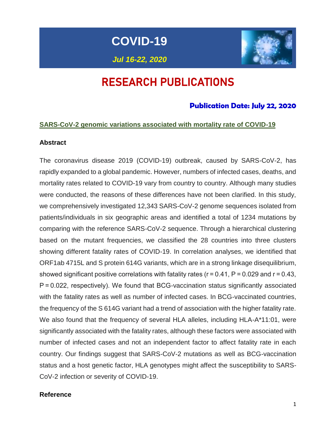**COVID-19**

*Jul 16-22, 2020*



# RESEARCH PUBLICATIONS

## **Publication Date: July 22, 2020**

#### **SARS-CoV-2 genomic variations associated with mortality rate of COVID-19**

#### **Abstract**

The coronavirus disease 2019 (COVID-19) outbreak, caused by SARS-CoV-2, has rapidly expanded to a global pandemic. However, numbers of infected cases, deaths, and mortality rates related to COVID-19 vary from country to country. Although many studies were conducted, the reasons of these differences have not been clarified. In this study, we comprehensively investigated 12,343 SARS-CoV-2 genome sequences isolated from patients/individuals in six geographic areas and identified a total of 1234 mutations by comparing with the reference SARS-CoV-2 sequence. Through a hierarchical clustering based on the mutant frequencies, we classified the 28 countries into three clusters showing different fatality rates of COVID-19. In correlation analyses, we identified that ORF1ab 4715L and S protein 614G variants, which are in a strong linkage disequilibrium, showed significant positive correlations with fatality rates ( $r = 0.41$ ,  $P = 0.029$  and  $r = 0.43$ , P = 0.022, respectively). We found that BCG-vaccination status significantly associated with the fatality rates as well as number of infected cases. In BCG-vaccinated countries, the frequency of the S 614G variant had a trend of association with the higher fatality rate. We also found that the frequency of several HLA alleles, including HLA-A<sup>\*</sup>11:01, were significantly associated with the fatality rates, although these factors were associated with number of infected cases and not an independent factor to affect fatality rate in each country. Our findings suggest that SARS-CoV-2 mutations as well as BCG-vaccination status and a host genetic factor, HLA genotypes might affect the susceptibility to SARS-CoV-2 infection or severity of COVID-19.

#### **Reference**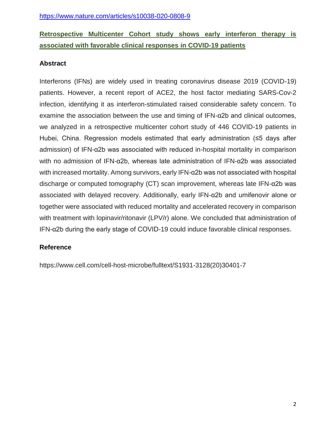# **Retrospective Multicenter Cohort study shows early interferon therapy is associated with favorable clinical responses in COVID-19 patients**

## **Abstract**

Interferons (IFNs) are widely used in treating coronavirus disease 2019 (COVID-19) patients. However, a recent report of ACE2, the host factor mediating SARS-Cov-2 infection, identifying it as interferon-stimulated raised considerable safety concern. To examine the association between the use and timing of IFN-α2b and clinical outcomes, we analyzed in a retrospective multicenter cohort study of 446 COVID-19 patients in Hubei, China. Regression models estimated that early administration (≤5 days after admission) of IFN-α2b was associated with reduced in-hospital mortality in comparison with no admission of IFN-α2b, whereas late administration of IFN-α2b was associated with increased mortality. Among survivors, early IFN-α2b was not associated with hospital discharge or computed tomography (CT) scan improvement, whereas late IFN-α2b was associated with delayed recovery. Additionally, early IFN-α2b and umifenovir alone or together were associated with reduced mortality and accelerated recovery in comparison with treatment with lopinavir/ritonavir (LPV/r) alone. We concluded that administration of IFN-α2b during the early stage of COVID-19 could induce favorable clinical responses.

## **Reference**

https://www.cell.com/cell-host-microbe/fulltext/S1931-3128(20)30401-7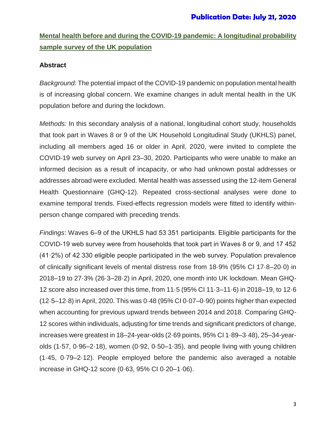# **Mental health before and during the COVID-19 pandemic: A longitudinal probability sample survey of the UK population**

### **Abstract**

*Background:* The potential impact of the COVID-19 pandemic on population mental health is of increasing global concern. We examine changes in adult mental health in the UK population before and during the lockdown.

*Methods:* In this secondary analysis of a national, longitudinal cohort study, households that took part in Waves 8 or 9 of the UK Household Longitudinal Study (UKHLS) panel, including all members aged 16 or older in April, 2020, were invited to complete the COVID-19 web survey on April 23–30, 2020. Participants who were unable to make an informed decision as a result of incapacity, or who had unknown postal addresses or addresses abroad were excluded. Mental health was assessed using the 12-item General Health Questionnaire (GHQ-12). Repeated cross-sectional analyses were done to examine temporal trends. Fixed-effects regression models were fitted to identify withinperson change compared with preceding trends.

*Findings*: Waves 6–9 of the UKHLS had 53 351 participants. Eligible participants for the COVID-19 web survey were from households that took part in Waves 8 or 9, and 17 452 (41·2%) of 42 330 eligible people participated in the web survey. Population prevalence of clinically significant levels of mental distress rose from 18·9% (95% CI 17·8–20·0) in 2018–19 to 27·3% (26·3–28·2) in April, 2020, one month into UK lockdown. Mean GHQ-12 score also increased over this time, from 11·5 (95% CI 11·3–11·6) in 2018–19, to 12·6 (12·5–12·8) in April, 2020. This was 0·48 (95% CI 0·07–0·90) points higher than expected when accounting for previous upward trends between 2014 and 2018. Comparing GHQ-12 scores within individuals, adjusting for time trends and significant predictors of change, increases were greatest in 18–24-year-olds (2·69 points, 95% CI 1·89–3·48), 25–34-yearolds (1·57, 0·96–2·18), women (0·92, 0·50–1·35), and people living with young children (1·45, 0·79–2·12). People employed before the pandemic also averaged a notable increase in GHQ-12 score (0·63, 95% CI 0·20–1·06).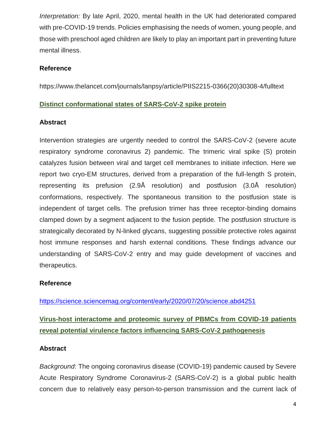*Interpretation:* By late April, 2020, mental health in the UK had deteriorated compared with pre-COVID-19 trends. Policies emphasising the needs of women, young people, and those with preschool aged children are likely to play an important part in preventing future mental illness.

#### **Reference**

[https://www.thelancet.com/journals/lanpsy/article/PIIS2215-0366\(20\)30308-4/fulltext](https://www.thelancet.com/journals/lanpsy/article/PIIS2215-0366(20)30308-4/fulltext)

#### **Distinct conformational states of SARS-CoV-2 spike protein**

#### **Abstract**

Intervention strategies are urgently needed to control the SARS-CoV-2 (severe acute respiratory syndrome coronavirus 2) pandemic. The trimeric viral spike (S) protein catalyzes fusion between viral and target cell membranes to initiate infection. Here we report two cryo-EM structures, derived from a preparation of the full-length S protein, representing its prefusion (2.9Å resolution) and postfusion (3.0Å resolution) conformations, respectively. The spontaneous transition to the postfusion state is independent of target cells. The prefusion trimer has three receptor-binding domains clamped down by a segment adjacent to the fusion peptide. The postfusion structure is strategically decorated by N-linked glycans, suggesting possible protective roles against host immune responses and harsh external conditions. These findings advance our understanding of SARS-CoV-2 entry and may guide development of vaccines and therapeutics.

#### **Reference**

<https://science.sciencemag.org/content/early/2020/07/20/science.abd4251>

# **Virus-host interactome and proteomic survey of PBMCs from COVID-19 patients reveal potential virulence factors influencing SARS-CoV-2 pathogenesis**

### **Abstract**

*Background*: The ongoing coronavirus disease (COVID-19) pandemic caused by Severe Acute Respiratory Syndrome Coronavirus-2 (SARS-CoV-2) is a global public health concern due to relatively easy person-to-person transmission and the current lack of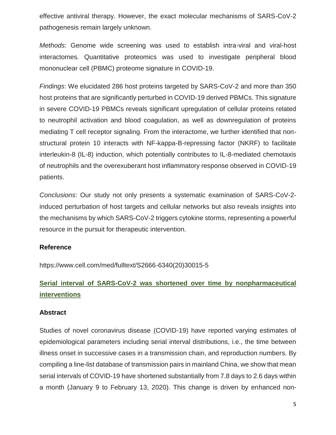effective antiviral therapy. However, the exact molecular mechanisms of SARS-CoV-2 pathogenesis remain largely unknown.

*Methods*: Genome wide screening was used to establish intra-viral and viral-host interactomes. Quantitative proteomics was used to investigate peripheral blood mononuclear cell (PBMC) proteome signature in COVID-19.

*Findings*: We elucidated 286 host proteins targeted by SARS-CoV-2 and more than 350 host proteins that are significantly perturbed in COVID-19 derived PBMCs. This signature in severe COVID-19 PBMCs reveals significant upregulation of cellular proteins related to neutrophil activation and blood coagulation, as well as downregulation of proteins mediating T cell receptor signaling. From the interactome, we further identified that nonstructural protein 10 interacts with NF-kappa-B-repressing factor (NKRF) to facilitate interleukin-8 (IL-8) induction, which potentially contributes to IL-8-mediated chemotaxis of neutrophils and the overexuberant host inflammatory response observed in COVID-19 patients.

*Conclusions*: Our study not only presents a systematic examination of SARS-CoV-2 induced perturbation of host targets and cellular networks but also reveals insights into the mechanisms by which SARS-CoV-2 triggers cytokine storms, representing a powerful resource in the pursuit for therapeutic intervention.

#### **Reference**

https://www.cell.com/med/fulltext/S2666-6340(20)30015-5

# **Serial interval of SARS-CoV-2 was shortened over time by nonpharmaceutical interventions**

#### **Abstract**

Studies of novel coronavirus disease (COVID-19) have reported varying estimates of epidemiological parameters including serial interval distributions, i.e., the time between illness onset in successive cases in a transmission chain, and reproduction numbers. By compiling a line-list database of transmission pairs in mainland China, we show that mean serial intervals of COVID-19 have shortened substantially from 7.8 days to 2.6 days within a month (January 9 to February 13, 2020). This change is driven by enhanced non-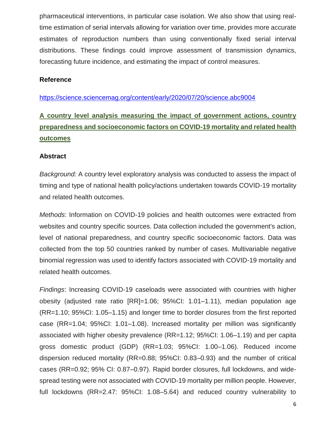pharmaceutical interventions, in particular case isolation. We also show that using realtime estimation of serial intervals allowing for variation over time, provides more accurate estimates of reproduction numbers than using conventionally fixed serial interval distributions. These findings could improve assessment of transmission dynamics, forecasting future incidence, and estimating the impact of control measures.

#### **Reference**

<https://science.sciencemag.org/content/early/2020/07/20/science.abc9004>

# **A country level analysis measuring the impact of government actions, country preparedness and socioeconomic factors on COVID-19 mortality and related health outcomes**

#### **Abstract**

*Background:* A country level exploratory analysis was conducted to assess the impact of timing and type of national health policy/actions undertaken towards COVID-19 mortality and related health outcomes.

*Methods*: Information on COVID-19 policies and health outcomes were extracted from websites and country specific sources. Data collection included the government's action, level of national preparedness, and country specific socioeconomic factors. Data was collected from the top 50 countries ranked by number of cases. Multivariable negative binomial regression was used to identify factors associated with COVID-19 mortality and related health outcomes.

*Findings*: Increasing COVID-19 caseloads were associated with countries with higher obesity (adjusted rate ratio [RR]=1.06; 95%CI: 1.01–1.11), median population age (RR=1.10; 95%CI: 1.05–1.15) and longer time to border closures from the first reported case (RR=1.04; 95%CI: 1.01–1.08). Increased mortality per million was significantly associated with higher obesity prevalence (RR=1.12; 95%CI: 1.06–1.19) and per capita gross domestic product (GDP) (RR=1.03; 95%CI: 1.00–1.06). Reduced income dispersion reduced mortality (RR=0.88; 95%CI: 0.83–0.93) and the number of critical cases (RR=0.92; 95% CI: 0.87–0.97). Rapid border closures, full lockdowns, and widespread testing were not associated with COVID-19 mortality per million people. However, full lockdowns (RR=2.47: 95%CI: 1.08–5.64) and reduced country vulnerability to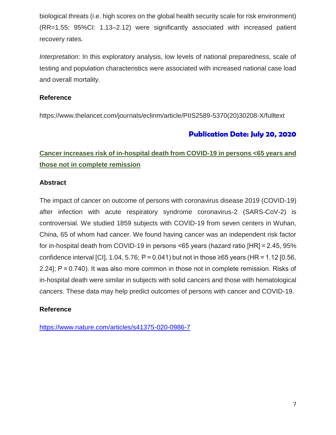biological threats (i.e. high scores on the global health security scale for risk environment) (RR=1.55; 95%CI: 1.13–2.12) were significantly associated with increased patient recovery rates.

*Interpretation*: In this exploratory analysis, low levels of national preparedness, scale of testing and population characteristics were associated with increased national case load and overall mortality.

#### **Reference**

https://www.thelancet.com/journals/eclinm/article/PIIS2589-5370(20)30208-X/fulltext

## **Publication Date: July 20, 2020**

# **Cancer increases risk of in-hospital death from COVID-19 in persons <65 years and those not in complete remission**

#### **Abstract**

The impact of cancer on outcome of persons with coronavirus disease 2019 (COVID-19) after infection with acute respiratory syndrome coronavirus-2 (SARS-CoV-2) is controversial. We studied 1859 subjects with COVID-19 from seven centers in Wuhan, China, 65 of whom had cancer. We found having cancer was an independent risk factor for in-hospital death from COVID-19 in persons <65 years (hazard ratio [HR] = 2.45, 95% confidence interval [CI], 1.04, 5.76; P = 0.041) but not in those  $\geq 65$  years (HR = 1.12 [0.56, 2.24]; P = 0.740). It was also more common in those not in complete remission. Risks of in-hospital death were similar in subjects with solid cancers and those with hematological cancers. These data may help predict outcomes of persons with cancer and COVID-19.

### **Reference**

<https://www.nature.com/articles/s41375-020-0986-7>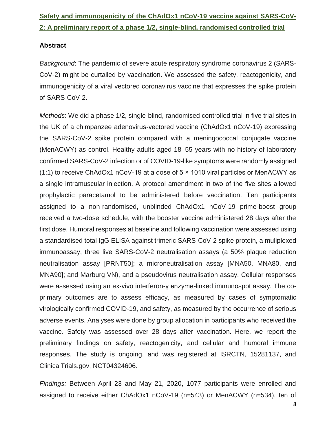# **Safety and immunogenicity of the ChAdOx1 nCoV-19 vaccine against SARS-CoV-2: A preliminary report of a phase 1/2, single-blind, randomised controlled trial**

#### **Abstract**

*Background*: The pandemic of severe acute respiratory syndrome coronavirus 2 (SARS-CoV-2) might be curtailed by vaccination. We assessed the safety, reactogenicity, and immunogenicity of a viral vectored coronavirus vaccine that expresses the spike protein of SARS-CoV-2.

*Methods*: We did a phase 1/2, single-blind, randomised controlled trial in five trial sites in the UK of a chimpanzee adenovirus-vectored vaccine (ChAdOx1 nCoV-19) expressing the SARS-CoV-2 spike protein compared with a meningococcal conjugate vaccine (MenACWY) as control. Healthy adults aged 18–55 years with no history of laboratory confirmed SARS-CoV-2 infection or of COVID-19-like symptoms were randomly assigned (1:1) to receive ChAdOx1 nCoV-19 at a dose of 5 × 1010 viral particles or MenACWY as a single intramuscular injection. A protocol amendment in two of the five sites allowed prophylactic paracetamol to be administered before vaccination. Ten participants assigned to a non-randomised, unblinded ChAdOx1 nCoV-19 prime-boost group received a two-dose schedule, with the booster vaccine administered 28 days after the first dose. Humoral responses at baseline and following vaccination were assessed using a standardised total IgG ELISA against trimeric SARS-CoV-2 spike protein, a muliplexed immunoassay, three live SARS-CoV-2 neutralisation assays (a 50% plaque reduction neutralisation assay [PRNT50]; a microneutralisation assay [MNA50, MNA80, and MNA90]; and Marburg VN), and a pseudovirus neutralisation assay. Cellular responses were assessed using an ex-vivo interferon-γ enzyme-linked immunospot assay. The coprimary outcomes are to assess efficacy, as measured by cases of symptomatic virologically confirmed COVID-19, and safety, as measured by the occurrence of serious adverse events. Analyses were done by group allocation in participants who received the vaccine. Safety was assessed over 28 days after vaccination. Here, we report the preliminary findings on safety, reactogenicity, and cellular and humoral immune responses. The study is ongoing, and was registered at ISRCTN, 15281137, and ClinicalTrials.gov, NCT04324606.

*Findings:* Between April 23 and May 21, 2020, 1077 participants were enrolled and assigned to receive either ChAdOx1 nCoV-19 (n=543) or MenACWY (n=534), ten of

8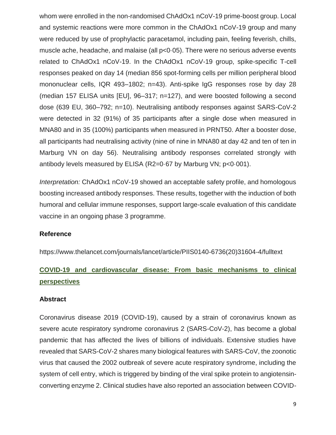whom were enrolled in the non-randomised ChAdOx1 nCoV-19 prime-boost group. Local and systemic reactions were more common in the ChAdOx1 nCoV-19 group and many were reduced by use of prophylactic paracetamol, including pain, feeling feverish, chills, muscle ache, headache, and malaise (all p<0·05). There were no serious adverse events related to ChAdOx1 nCoV-19. In the ChAdOx1 nCoV-19 group, spike-specific T-cell responses peaked on day 14 (median 856 spot-forming cells per million peripheral blood mononuclear cells, IQR 493–1802; n=43). Anti-spike IgG responses rose by day 28 (median 157 ELISA units [EU], 96–317; n=127), and were boosted following a second dose (639 EU, 360–792; n=10). Neutralising antibody responses against SARS-CoV-2 were detected in 32 (91%) of 35 participants after a single dose when measured in MNA80 and in 35 (100%) participants when measured in PRNT50. After a booster dose, all participants had neutralising activity (nine of nine in MNA80 at day 42 and ten of ten in Marburg VN on day 56). Neutralising antibody responses correlated strongly with antibody levels measured by ELISA (R2=0·67 by Marburg VN; p<0·001).

*Interpretation:* ChAdOx1 nCoV-19 showed an acceptable safety profile, and homologous boosting increased antibody responses. These results, together with the induction of both humoral and cellular immune responses, support large-scale evaluation of this candidate vaccine in an ongoing phase 3 programme.

#### **Reference**

[https://www.thelancet.com/journals/lancet/article/PIIS0140-6736\(20\)31604-4/fulltext](https://www.thelancet.com/journals/lancet/article/PIIS0140-6736(20)31604-4/fulltext)

# **COVID-19 and cardiovascular disease: From basic mechanisms to clinical perspectives**

#### **Abstract**

Coronavirus disease 2019 (COVID-19), caused by a strain of coronavirus known as severe acute respiratory syndrome coronavirus 2 (SARS-CoV-2), has become a global pandemic that has affected the lives of billions of individuals. Extensive studies have revealed that SARS-CoV-2 shares many biological features with SARS-CoV, the zoonotic virus that caused the 2002 outbreak of severe acute respiratory syndrome, including the system of cell entry, which is triggered by binding of the viral spike protein to angiotensinconverting enzyme 2. Clinical studies have also reported an association between COVID-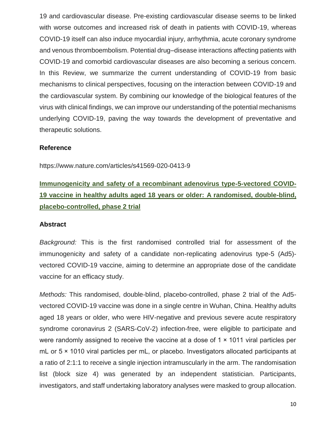19 and cardiovascular disease. Pre-existing cardiovascular disease seems to be linked with worse outcomes and increased risk of death in patients with COVID-19, whereas COVID-19 itself can also induce myocardial injury, arrhythmia, acute coronary syndrome and venous thromboembolism. Potential drug–disease interactions affecting patients with COVID-19 and comorbid cardiovascular diseases are also becoming a serious concern. In this Review, we summarize the current understanding of COVID-19 from basic mechanisms to clinical perspectives, focusing on the interaction between COVID-19 and the cardiovascular system. By combining our knowledge of the biological features of the virus with clinical findings, we can improve our understanding of the potential mechanisms underlying COVID-19, paving the way towards the development of preventative and therapeutic solutions.

#### **Reference**

https://www.nature.com/articles/s41569-020-0413-9

# **Immunogenicity and safety of a recombinant adenovirus type-5-vectored COVID-19 vaccine in healthy adults aged 18 years or older: A randomised, double-blind, placebo-controlled, phase 2 trial**

#### **Abstract**

*Background:* This is the first randomised controlled trial for assessment of the immunogenicity and safety of a candidate non-replicating adenovirus type-5 (Ad5) vectored COVID-19 vaccine, aiming to determine an appropriate dose of the candidate vaccine for an efficacy study.

*Methods:* This randomised, double-blind, placebo-controlled, phase 2 trial of the Ad5 vectored COVID-19 vaccine was done in a single centre in Wuhan, China. Healthy adults aged 18 years or older, who were HIV-negative and previous severe acute respiratory syndrome coronavirus 2 (SARS-CoV-2) infection-free, were eligible to participate and were randomly assigned to receive the vaccine at a dose of 1 × 1011 viral particles per mL or 5 × 1010 viral particles per mL, or placebo. Investigators allocated participants at a ratio of 2:1:1 to receive a single injection intramuscularly in the arm. The randomisation list (block size 4) was generated by an independent statistician. Participants, investigators, and staff undertaking laboratory analyses were masked to group allocation.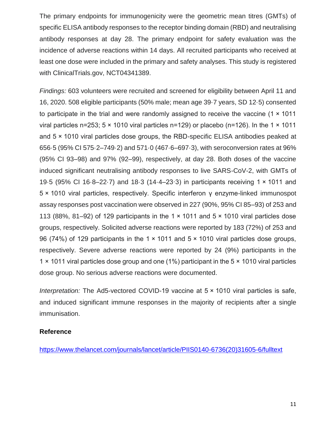The primary endpoints for immunogenicity were the geometric mean titres (GMTs) of specific ELISA antibody responses to the receptor binding domain (RBD) and neutralising antibody responses at day 28. The primary endpoint for safety evaluation was the incidence of adverse reactions within 14 days. All recruited participants who received at least one dose were included in the primary and safety analyses. This study is registered with ClinicalTrials.gov, NCT04341389.

*Findings:* 603 volunteers were recruited and screened for eligibility between April 11 and 16, 2020. 508 eligible participants (50% male; mean age 39·7 years, SD 12·5) consented to participate in the trial and were randomly assigned to receive the vaccine (1 × 1011 viral particles n=253; 5  $\times$  1010 viral particles n=129) or placebo (n=126). In the 1  $\times$  1011 and 5 × 1010 viral particles dose groups, the RBD-specific ELISA antibodies peaked at 656·5 (95% CI 575·2–749·2) and 571·0 (467·6–697·3), with seroconversion rates at 96% (95% CI 93–98) and 97% (92–99), respectively, at day 28. Both doses of the vaccine induced significant neutralising antibody responses to live SARS-CoV-2, with GMTs of 19·5 (95% CI 16·8–22·7) and 18·3 (14·4–23·3) in participants receiving 1 × 1011 and 5 × 1010 viral particles, respectively. Specific interferon γ enzyme-linked immunospot assay responses post vaccination were observed in 227 (90%, 95% CI 85–93) of 253 and 113 (88%, 81–92) of 129 participants in the 1  $\times$  1011 and 5  $\times$  1010 viral particles dose groups, respectively. Solicited adverse reactions were reported by 183 (72%) of 253 and 96 (74%) of 129 participants in the 1 × 1011 and 5 × 1010 viral particles dose groups, respectively. Severe adverse reactions were reported by 24 (9%) participants in the 1 × 1011 viral particles dose group and one (1%) participant in the 5 × 1010 viral particles dose group. No serious adverse reactions were documented.

*Interpretation:* The Ad5-vectored COVID-19 vaccine at 5 × 1010 viral particles is safe, and induced significant immune responses in the majority of recipients after a single immunisation.

#### **Reference**

[https://www.thelancet.com/journals/lancet/article/PIIS0140-6736\(20\)31605-6/fulltext](https://www.thelancet.com/journals/lancet/article/PIIS0140-6736(20)31605-6/fulltext)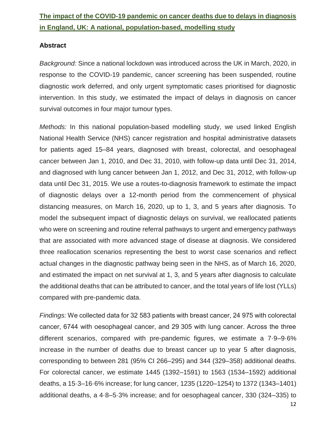# **The impact of the COVID-19 pandemic on cancer deaths due to delays in diagnosis in England, UK: A national, population-based, modelling study**

#### **Abstract**

*Background:* Since a national lockdown was introduced across the UK in March, 2020, in response to the COVID-19 pandemic, cancer screening has been suspended, routine diagnostic work deferred, and only urgent symptomatic cases prioritised for diagnostic intervention. In this study, we estimated the impact of delays in diagnosis on cancer survival outcomes in four major tumour types.

*Methods:* In this national population-based modelling study, we used linked English National Health Service (NHS) cancer registration and hospital administrative datasets for patients aged 15–84 years, diagnosed with breast, colorectal, and oesophageal cancer between Jan 1, 2010, and Dec 31, 2010, with follow-up data until Dec 31, 2014, and diagnosed with lung cancer between Jan 1, 2012, and Dec 31, 2012, with follow-up data until Dec 31, 2015. We use a routes-to-diagnosis framework to estimate the impact of diagnostic delays over a 12-month period from the commencement of physical distancing measures, on March 16, 2020, up to 1, 3, and 5 years after diagnosis. To model the subsequent impact of diagnostic delays on survival, we reallocated patients who were on screening and routine referral pathways to urgent and emergency pathways that are associated with more advanced stage of disease at diagnosis. We considered three reallocation scenarios representing the best to worst case scenarios and reflect actual changes in the diagnostic pathway being seen in the NHS, as of March 16, 2020, and estimated the impact on net survival at 1, 3, and 5 years after diagnosis to calculate the additional deaths that can be attributed to cancer, and the total years of life lost (YLLs) compared with pre-pandemic data.

*Findings:* We collected data for 32 583 patients with breast cancer, 24 975 with colorectal cancer, 6744 with oesophageal cancer, and 29 305 with lung cancer. Across the three different scenarios, compared with pre-pandemic figures, we estimate a 7·9–9·6% increase in the number of deaths due to breast cancer up to year 5 after diagnosis, corresponding to between 281 (95% CI 266–295) and 344 (329–358) additional deaths. For colorectal cancer, we estimate 1445 (1392–1591) to 1563 (1534–1592) additional deaths, a 15·3–16·6% increase; for lung cancer, 1235 (1220–1254) to 1372 (1343–1401) additional deaths, a 4·8–5·3% increase; and for oesophageal cancer, 330 (324–335) to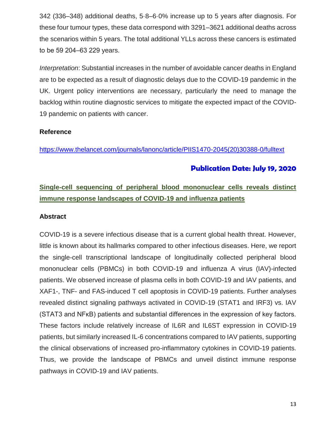342 (336–348) additional deaths, 5·8–6·0% increase up to 5 years after diagnosis. For these four tumour types, these data correspond with 3291–3621 additional deaths across the scenarios within 5 years. The total additional YLLs across these cancers is estimated to be 59 204–63 229 years.

*Interpretation*: Substantial increases in the number of avoidable cancer deaths in England are to be expected as a result of diagnostic delays due to the COVID-19 pandemic in the UK. Urgent policy interventions are necessary, particularly the need to manage the backlog within routine diagnostic services to mitigate the expected impact of the COVID-19 pandemic on patients with cancer.

#### **Reference**

[https://www.thelancet.com/journals/lanonc/article/PIIS1470-2045\(20\)30388-0/fulltext](https://www.thelancet.com/journals/lanonc/article/PIIS1470-2045(20)30388-0/fulltext)

## **Publication Date: July 19, 2020**

# **Single-cell sequencing of peripheral blood mononuclear cells reveals distinct immune response landscapes of COVID-19 and influenza patients**

#### **Abstract**

COVID-19 is a severe infectious disease that is a current global health threat. However, little is known about its hallmarks compared to other infectious diseases. Here, we report the single-cell transcriptional landscape of longitudinally collected peripheral blood mononuclear cells (PBMCs) in both COVID-19 and influenza A virus (IAV)-infected patients. We observed increase of plasma cells in both COVID-19 and IAV patients, and XAF1-, TNF- and FAS-induced T cell apoptosis in COVID-19 patients. Further analyses revealed distinct signaling pathways activated in COVID-19 (STAT1 and IRF3) vs. IAV (STAT3 and NFκB) patients and substantial differences in the expression of key factors. These factors include relatively increase of IL6R and IL6ST expression in COVID-19 patients, but similarly increased IL-6 concentrations compared to IAV patients, supporting the clinical observations of increased pro-inflammatory cytokines in COVID-19 patients. Thus, we provide the landscape of PBMCs and unveil distinct immune response pathways in COVID-19 and IAV patients.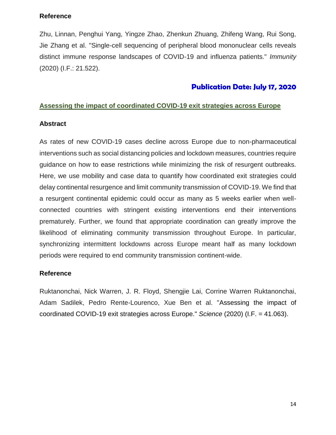#### **Reference**

Zhu, Linnan, Penghui Yang, Yingze Zhao, Zhenkun Zhuang, Zhifeng Wang, Rui Song, Jie Zhang et al. "Single-cell sequencing of peripheral blood mononuclear cells reveals distinct immune response landscapes of COVID-19 and influenza patients." *Immunity* (2020) (I.F.: 21.522).

## **Publication Date: July 17, 2020**

#### **Assessing the impact of coordinated COVID-19 exit strategies across Europe**

#### **Abstract**

As rates of new COVID-19 cases decline across Europe due to non-pharmaceutical interventions such as social distancing policies and lockdown measures, countries require guidance on how to ease restrictions while minimizing the risk of resurgent outbreaks. Here, we use mobility and case data to quantify how coordinated exit strategies could delay continental resurgence and limit community transmission of COVID-19. We find that a resurgent continental epidemic could occur as many as 5 weeks earlier when wellconnected countries with stringent existing interventions end their interventions prematurely. Further, we found that appropriate coordination can greatly improve the likelihood of eliminating community transmission throughout Europe. In particular, synchronizing intermittent lockdowns across Europe meant half as many lockdown periods were required to end community transmission continent-wide.

### **Reference**

Ruktanonchai, Nick Warren, J. R. Floyd, Shengjie Lai, Corrine Warren Ruktanonchai, Adam Sadilek, Pedro Rente-Lourenco, Xue Ben et al. "Assessing the impact of coordinated COVID-19 exit strategies across Europe." *Science* (2020) (I.F. = 41.063).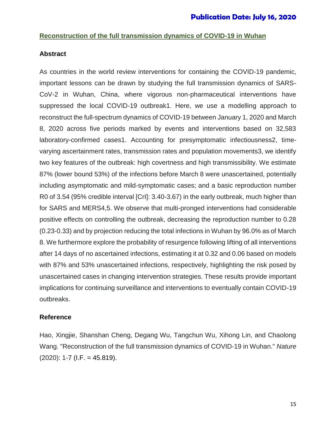#### **Reconstruction of the full transmission dynamics of COVID-19 in Wuhan**

#### **Abstract**

As countries in the world review interventions for containing the COVID-19 pandemic, important lessons can be drawn by studying the full transmission dynamics of SARS-CoV-2 in Wuhan, China, where vigorous non-pharmaceutical interventions have suppressed the local COVID-19 outbreak1. Here, we use a modelling approach to reconstruct the full-spectrum dynamics of COVID-19 between January 1, 2020 and March 8, 2020 across five periods marked by events and interventions based on 32,583 laboratory-confirmed cases1. Accounting for presymptomatic infectiousness2, timevarying ascertainment rates, transmission rates and population movements3, we identify two key features of the outbreak: high covertness and high transmissibility. We estimate 87% (lower bound 53%) of the infections before March 8 were unascertained, potentially including asymptomatic and mild-symptomatic cases; and a basic reproduction number R0 of 3.54 (95% credible interval [CrI]: 3.40-3.67) in the early outbreak, much higher than for SARS and MERS4,5. We observe that multi-pronged interventions had considerable positive effects on controlling the outbreak, decreasing the reproduction number to 0.28 (0.23-0.33) and by projection reducing the total infections in Wuhan by 96.0% as of March 8. We furthermore explore the probability of resurgence following lifting of all interventions after 14 days of no ascertained infections, estimating it at 0.32 and 0.06 based on models with 87% and 53% unascertained infections, respectively, highlighting the risk posed by unascertained cases in changing intervention strategies. These results provide important implications for continuing surveillance and interventions to eventually contain COVID-19 outbreaks.

#### **Reference**

Hao, Xingjie, Shanshan Cheng, Degang Wu, Tangchun Wu, Xihong Lin, and Chaolong Wang. "Reconstruction of the full transmission dynamics of COVID-19 in Wuhan." *Nature*  $(2020)$ : 1-7 (I.F. = 45.819).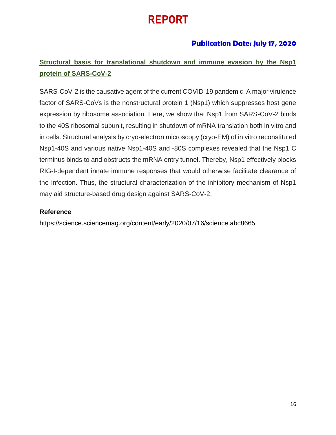# REPORT

## **Publication Date: July 17, 2020**

# **Structural basis for translational shutdown and immune evasion by the Nsp1 protein of SARS-CoV-2**

SARS-CoV-2 is the causative agent of the current COVID-19 pandemic. A major virulence factor of SARS-CoVs is the nonstructural protein 1 (Nsp1) which suppresses host gene expression by ribosome association. Here, we show that Nsp1 from SARS-CoV-2 binds to the 40S ribosomal subunit, resulting in shutdown of mRNA translation both in vitro and in cells. Structural analysis by cryo-electron microscopy (cryo-EM) of in vitro reconstituted Nsp1-40S and various native Nsp1-40S and -80S complexes revealed that the Nsp1 C terminus binds to and obstructs the mRNA entry tunnel. Thereby, Nsp1 effectively blocks RIG-I-dependent innate immune responses that would otherwise facilitate clearance of the infection. Thus, the structural characterization of the inhibitory mechanism of Nsp1 may aid structure-based drug design against SARS-CoV-2.

#### **Reference**

https://science.sciencemag.org/content/early/2020/07/16/science.abc8665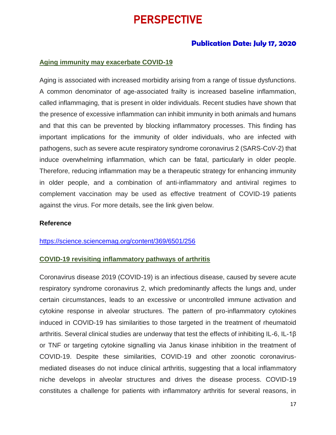# PERSPECTIVE

### **Publication Date: July 17, 2020**

#### **Aging immunity may exacerbate COVID-19**

Aging is associated with increased morbidity arising from a range of tissue dysfunctions. A common denominator of age-associated frailty is increased baseline inflammation, called inflammaging, that is present in older individuals. Recent studies have shown that the presence of excessive inflammation can inhibit immunity in both animals and humans and that this can be prevented by blocking inflammatory processes. This finding has important implications for the immunity of older individuals, who are infected with pathogens, such as severe acute respiratory syndrome coronavirus 2 (SARS-CoV-2) that induce overwhelming inflammation, which can be fatal, particularly in older people. Therefore, reducing inflammation may be a therapeutic strategy for enhancing immunity in older people, and a combination of anti-inflammatory and antiviral regimes to complement vaccination may be used as effective treatment of COVID-19 patients against the virus. For more details, see the link given below.

#### **Reference**

#### <https://science.sciencemag.org/content/369/6501/256>

#### **COVID-19 revisiting inflammatory pathways of arthritis**

Coronavirus disease 2019 (COVID-19) is an infectious disease, caused by severe acute respiratory syndrome coronavirus 2, which predominantly affects the lungs and, under certain circumstances, leads to an excessive or uncontrolled immune activation and cytokine response in alveolar structures. The pattern of pro-inflammatory cytokines induced in COVID-19 has similarities to those targeted in the treatment of rheumatoid arthritis. Several clinical studies are underway that test the effects of inhibiting IL-6, IL-1β or TNF or targeting cytokine signalling via Janus kinase inhibition in the treatment of COVID-19. Despite these similarities, COVID-19 and other zoonotic coronavirusmediated diseases do not induce clinical arthritis, suggesting that a local inflammatory niche develops in alveolar structures and drives the disease process. COVID-19 constitutes a challenge for patients with inflammatory arthritis for several reasons, in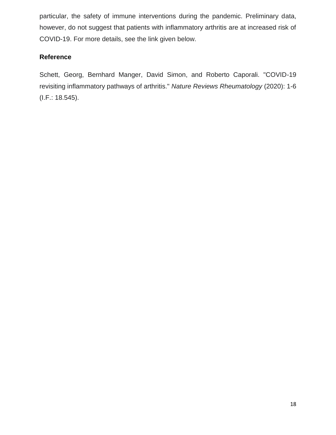particular, the safety of immune interventions during the pandemic. Preliminary data, however, do not suggest that patients with inflammatory arthritis are at increased risk of COVID-19. For more details, see the link given below.

## **Reference**

Schett, Georg, Bernhard Manger, David Simon, and Roberto Caporali. "COVID-19 revisiting inflammatory pathways of arthritis." *Nature Reviews Rheumatology* (2020): 1-6 (I.F.: 18.545).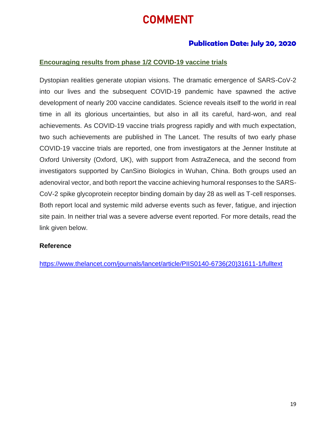# COMMENT

## **Publication Date: July 20, 2020**

#### **Encouraging results from phase 1/2 COVID-19 vaccine trials**

Dystopian realities generate utopian visions. The dramatic emergence of SARS-CoV-2 into our lives and the subsequent COVID-19 pandemic have spawned the active development of nearly 200 vaccine candidates. Science reveals itself to the world in real time in all its glorious uncertainties, but also in all its careful, hard-won, and real achievements. As COVID-19 vaccine trials progress rapidly and with much expectation, two such achievements are published in The Lancet. The results of two early phase COVID-19 vaccine trials are reported, one from investigators at the Jenner Institute at Oxford University (Oxford, UK), with support from AstraZeneca, and the second from investigators supported by CanSino Biologics in Wuhan, China. Both groups used an adenoviral vector, and both report the vaccine achieving humoral responses to the SARS-CoV-2 spike glycoprotein receptor binding domain by day 28 as well as T-cell responses. Both report local and systemic mild adverse events such as fever, fatigue, and injection site pain. In neither trial was a severe adverse event reported. For more details, read the link given below.

#### **Reference**

[https://www.thelancet.com/journals/lancet/article/PIIS0140-6736\(20\)31611-1/fulltext](https://www.thelancet.com/journals/lancet/article/PIIS0140-6736(20)31611-1/fulltext)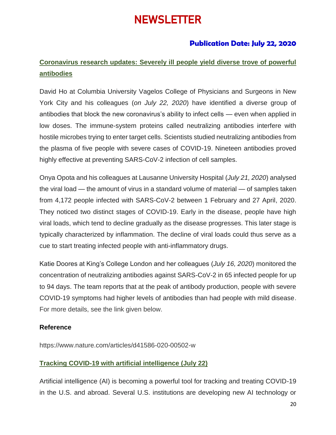# **NEWSLETTER**

## **Publication Date: July 22, 2020**

## **Coronavirus research updates: Severely ill people yield diverse trove of powerful antibodies**

David Ho at Columbia University Vagelos College of Physicians and Surgeons in New York City and his colleagues (*on July 22, 2020*) have identified a diverse group of antibodies that block the new coronavirus's ability to infect cells — even when applied in low doses. The immune-system proteins called neutralizing antibodies interfere with hostile microbes trying to enter target cells. Scientists studied neutralizing antibodies from the plasma of five people with severe cases of COVID-19. Nineteen antibodies proved highly effective at preventing SARS-CoV-2 infection of cell samples.

Onya Opota and his colleagues at Lausanne University Hospital (*July 21, 2020*) analysed the viral load — the amount of virus in a standard volume of material — of samples taken from 4,172 people infected with SARS-CoV-2 between 1 February and 27 April, 2020. They noticed two distinct stages of COVID-19. Early in the disease, people have high viral loads, which tend to decline gradually as the disease progresses. This later stage is typically characterized by inflammation. The decline of viral loads could thus serve as a cue to start treating infected people with anti-inflammatory drugs.

Katie Doores at King's College London and her colleagues (*July 16, 2020*) monitored the concentration of neutralizing antibodies against SARS-CoV-2 in 65 infected people for up to 94 days. The team reports that at the peak of antibody production, people with severe COVID-19 symptoms had higher levels of antibodies than had people with mild disease. For more details, see the link given below.

#### **Reference**

https://www.nature.com/articles/d41586-020-00502-w

#### **Tracking COVID-19 with artificial intelligence (July 22)**

Artificial intelligence (AI) is becoming a powerful tool for tracking and treating COVID-19 in the U.S. and abroad. Several U.S. institutions are developing new AI technology or